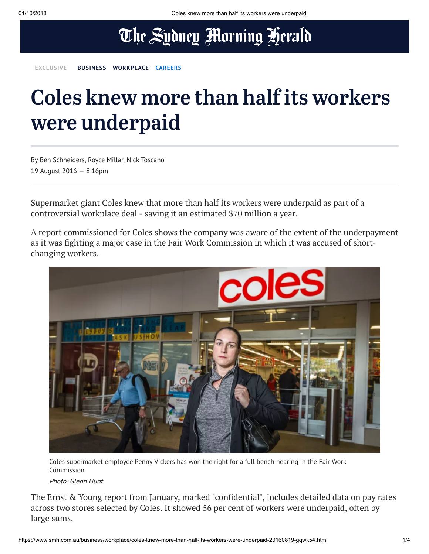## The Sydney Morning Herald

**EXCLUSIVE [BUSINESS](https://www.smh.com.au/business) [WORKPLACE](https://www.smh.com.au/business/workplace) [CAREERS](https://www.smh.com.au/topic/careers-645)**

# Coles knew more than half its workers were underpaid

By Ben Schneiders, Royce Millar, Nick Toscano 19 August 2016 — 8:16pm

Supermarket giant Coles knew that more than half its workers were underpaid as part of a controversial workplace deal - saving it an estimated \$70 million a year.

A report commissioned for Coles shows the company was aware of the extent of the underpayment as it was fighting a major case in the Fair Work Commission in which it was accused of shortchanging workers.



Coles supermarket employee Penny Vickers has won the right for a full bench hearing in the Fair Work Commission.

Photo: Glenn Hunt

The Ernst & Young report from January, marked "confidential", includes detailed data on pay rates across two stores selected by Coles. It showed 56 per cent of workers were underpaid, often by large sums.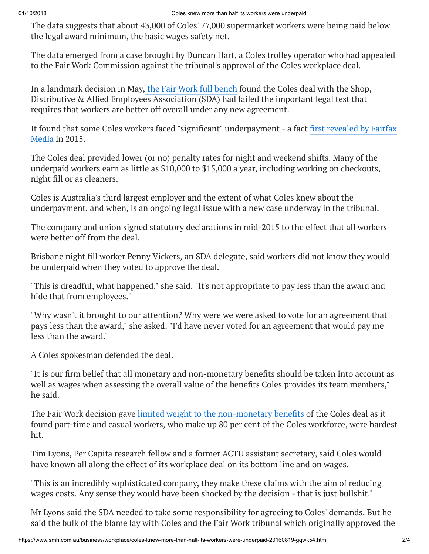The data suggests that about 43,000 of Coles' 77,000 supermarket workers were being paid below the legal award minimum, the basic wages safety net.

The data emerged from a case brought by Duncan Hart, a Coles trolley operator who had appealed to the Fair Work Commission against the tribunal's approval of the Coles workplace deal.

In a landmark decision in May, the Fair Work full [bench](http://www.theage.com.au/business/workplace-relations/coles-underpaid-workers-cut-penalty-rates-tribunal-finds-20160531-gp7vxm.html) found the Coles deal with the Shop, Distributive & Allied Employees Association (SDA) had failed the important legal test that requires that workers are better off overall under any new agreement.

It found that some Coles workers faced "significant" [underpayment](http://www.smh.com.au/national/coles-workers-worse-off-under-deal-with-shoppies-union-20150522-gh7tqy.html) - a fact first revealed by Fairfax Media in 2015.

The Coles deal provided lower (or no) penalty rates for night and weekend shifts. Many of the underpaid workers earn as little as \$10,000 to \$15,000 a year, including working on checkouts, night fill or as cleaners.

Coles is Australia's third largest employer and the extent of what Coles knew about the underpayment, and when, is an ongoing legal issue with a new case underway in the tribunal.

The company and union signed statutory declarations in mid-2015 to the effect that all workers were better off from the deal.

Brisbane night fill worker Penny Vickers, an SDA delegate, said workers did not know they would be underpaid when they voted to approve the deal.

"This is dreadful, what happened," she said. "It's not appropriate to pay less than the award and hide that from employees."

"Why wasn't it brought to our attention? Why were we were asked to vote for an agreement that pays less than the award," she asked. "I'd have never voted for an agreement that would pay me less than the award."

A Coles spokesman defended the deal.

"It is our firm belief that all monetary and non-monetary benefits should be taken into account as well as wages when assessing the overall value of the benefits Coles provides its team members," he said.

The Fair Work decision gave limited weight to the [non-monetary](https://www.fwc.gov.au/documents/decisionssigned/html/2016fwcfb2887.htm) benefits of the Coles deal as it found part-time and casual workers, who make up 80 per cent of the Coles workforce, were hardest hit.

Tim Lyons, Per Capita research fellow and a former ACTU assistant secretary, said Coles would have known all along the effect of its workplace deal on its bottom line and on wages.

"This is an incredibly sophisticated company, they make these claims with the aim of reducing wages costs. Any sense they would have been shocked by the decision - that is just bullshit."

Mr Lyons said the SDA needed to take some responsibility for agreeing to Coles' demands. But he said the bulk of the blame lay with Coles and the Fair Work tribunal which originally approved the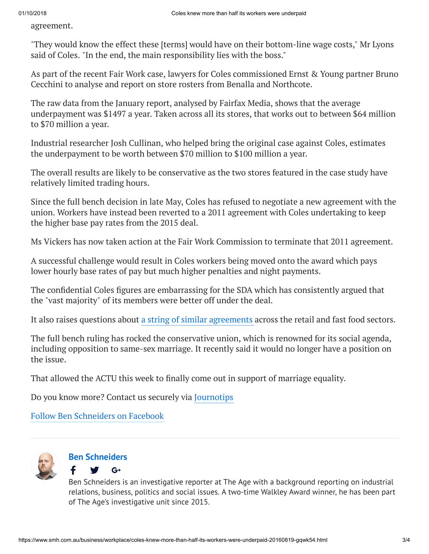agreement.

"They would know the effect these [terms] would have on their bottom-line wage costs," Mr Lyons said of Coles. "In the end, the main responsibility lies with the boss."

As part of the recent Fair Work case, lawyers for Coles commissioned Ernst & Young partner Bruno Cecchini to analyse and report on store rosters from Benalla and Northcote.

The raw data from the January report, analysed by Fairfax Media, shows that the average underpayment was \$1497 a year. Taken across all its stores, that works out to between \$64 million to \$70 million a year.

Industrial researcher Josh Cullinan, who helped bring the original case against Coles, estimates the underpayment to be worth between \$70 million to \$100 million a year.

The overall results are likely to be conservative as the two stores featured in the case study have relatively limited trading hours.

Since the full bench decision in late May, Coles has refused to negotiate a new agreement with the union. Workers have instead been reverted to a 2011 agreement with Coles undertaking to keep the higher base pay rates from the 2015 deal.

Ms Vickers has now taken action at the Fair Work Commission to terminate that 2011 agreement.

A successful challenge would result in Coles workers being moved onto the award which pays lower hourly base rates of pay but much higher penalties and night payments.

The confidential Coles figures are embarrassing for the SDA which has consistently argued that the "vast majority" of its members were better off under the deal.

It also raises questions about a [string of similar](https://www.smh.com.au/business/workplace-relations/hamburgled-mcdonalds-coles-woolworths-workers-lose-in-union-pay-deals-20160518-goycw5.html) agreements across the retail and fast food sectors.

The full bench ruling has rocked the conservative union, which is renowned for its social agenda, including opposition to same-sex marriage. It recently said it would no longer have a position on the issue.

That allowed the ACTU this week to finally come out in support of marriage equality.

Do you know more? Contact us securely via [Journotips](https://app.whispli.com/reports/add/BenSchneidersFairfaxMedia)

Follow Ben [Schneiders](https://www.facebook.com/benschneidersjournalist/) on Facebook



#### **Ben [Schneiders](https://www.smh.com.au/by/ben-schneiders-hveq2)**

f

 $G^+$ 

Ben Schneiders is an investigative reporter at The Age with a background reporting on industrial relations, business, politics and social issues. A two-time Walkley Award winner, he has been part of The Age's investigative unit since 2015.